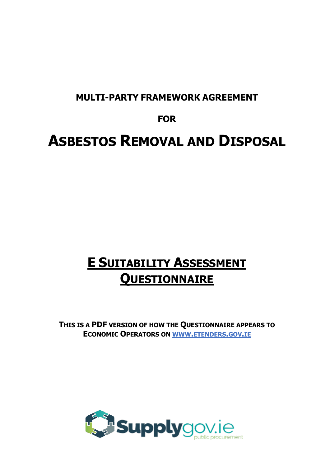## **MULTI-PARTY FRAMEWORK AGREEMENT**

## **FOR**

# **ASBESTOS REMOVAL AND DISPOSAL**

## **E SUITABILITY ASSESSMENT QUESTIONNAIRE**

**THIS IS A PDF VERSION OF HOW THE QUESTIONNAIRE APPEARS TO ECONOMIC OPERATORS ON WWW.ETENDERS.GOV.IE**

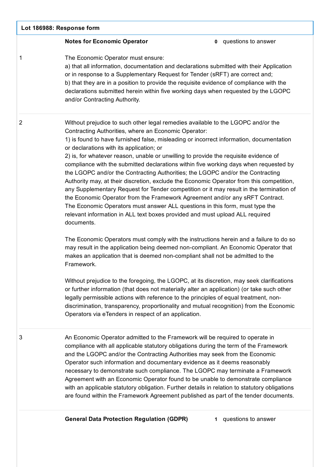| Lot 186988: Response form |                                                                                                                                                                                                                                                                                                                                                                                                                                                                                                                                                                                                                                                                                                                                                                                                                                                                                                                                                                                                                                                                                                                                                                                                                                                                                                                                                                                                                                                                                                                                                                                                                                                                                                                                 |                              |
|---------------------------|---------------------------------------------------------------------------------------------------------------------------------------------------------------------------------------------------------------------------------------------------------------------------------------------------------------------------------------------------------------------------------------------------------------------------------------------------------------------------------------------------------------------------------------------------------------------------------------------------------------------------------------------------------------------------------------------------------------------------------------------------------------------------------------------------------------------------------------------------------------------------------------------------------------------------------------------------------------------------------------------------------------------------------------------------------------------------------------------------------------------------------------------------------------------------------------------------------------------------------------------------------------------------------------------------------------------------------------------------------------------------------------------------------------------------------------------------------------------------------------------------------------------------------------------------------------------------------------------------------------------------------------------------------------------------------------------------------------------------------|------------------------------|
|                           | <b>Notes for Economic Operator</b>                                                                                                                                                                                                                                                                                                                                                                                                                                                                                                                                                                                                                                                                                                                                                                                                                                                                                                                                                                                                                                                                                                                                                                                                                                                                                                                                                                                                                                                                                                                                                                                                                                                                                              | <b>0</b> questions to answer |
| 1                         | The Economic Operator must ensure:<br>a) that all information, documentation and declarations submitted with their Application<br>or in response to a Supplementary Request for Tender (sRFT) are correct and;<br>b) that they are in a position to provide the requisite evidence of compliance with the<br>declarations submitted herein within five working days when requested by the LGOPC<br>and/or Contracting Authority.                                                                                                                                                                                                                                                                                                                                                                                                                                                                                                                                                                                                                                                                                                                                                                                                                                                                                                                                                                                                                                                                                                                                                                                                                                                                                                |                              |
| $\overline{2}$            | Without prejudice to such other legal remedies available to the LGOPC and/or the<br>Contracting Authorities, where an Economic Operator:<br>1) is found to have furnished false, misleading or incorrect information, documentation<br>or declarations with its application; or<br>2) is, for whatever reason, unable or unwilling to provide the requisite evidence of<br>compliance with the submitted declarations within five working days when requested by<br>the LGOPC and/or the Contracting Authorities; the LGOPC and/or the Contracting<br>Authority may, at their discretion, exclude the Economic Operator from this competition,<br>any Supplementary Request for Tender competition or it may result in the termination of<br>the Economic Operator from the Framework Agreement and/or any sRFT Contract.<br>The Economic Operators must answer ALL questions in this form, must type the<br>relevant information in ALL text boxes provided and must upload ALL required<br>documents.<br>The Economic Operators must comply with the instructions herein and a failure to do so<br>may result in the application being deemed non-compliant. An Economic Operator that<br>makes an application that is deemed non-compliant shall not be admitted to the<br>Framework.<br>Without prejudice to the foregoing, the LGOPC, at its discretion, may seek clarifications<br>or further information (that does not materially alter an application) (or take such other<br>legally permissible actions with reference to the principles of equal treatment, non-<br>discrimination, transparency, proportionality and mutual recognition) from the Economic<br>Operators via eTenders in respect of an application. |                              |
| 3                         | An Economic Operator admitted to the Framework will be required to operate in<br>compliance with all applicable statutory obligations during the term of the Framework<br>and the LGOPC and/or the Contracting Authorities may seek from the Economic<br>Operator such information and documentary evidence as it deems reasonably<br>necessary to demonstrate such compliance. The LGOPC may terminate a Framework<br>Agreement with an Economic Operator found to be unable to demonstrate compliance<br>with an applicable statutory obligation. Further details in relation to statutory obligations<br>are found within the Framework Agreement published as part of the tender documents.                                                                                                                                                                                                                                                                                                                                                                                                                                                                                                                                                                                                                                                                                                                                                                                                                                                                                                                                                                                                                                 |                              |
|                           | <b>General Data Protection Regulation (GDPR)</b>                                                                                                                                                                                                                                                                                                                                                                                                                                                                                                                                                                                                                                                                                                                                                                                                                                                                                                                                                                                                                                                                                                                                                                                                                                                                                                                                                                                                                                                                                                                                                                                                                                                                                | 1 questions to answer        |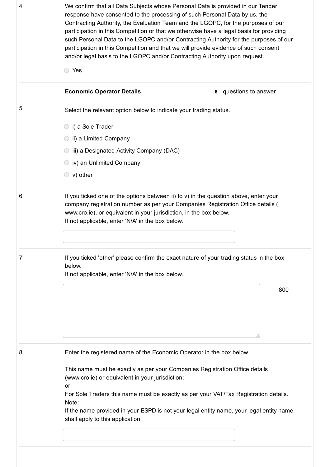| 4 | We confirm that all Data Subjects whose Personal Data is provided in our Tender<br>response have consented to the processing of such Personal Data by us, the<br>Contracting Authority, the Evaluation Team and the LGOPC, for the purposes of our<br>participation in this Competition or that we otherwise have a legal basis for providing<br>such Personal Data to the LGOPC and/or Contracting Authority for the purposes of our<br>participation in this Competition and that we will provide evidence of such consent<br>and/or legal basis to the LGOPC and/or Contracting Authority upon request. |  |
|---|------------------------------------------------------------------------------------------------------------------------------------------------------------------------------------------------------------------------------------------------------------------------------------------------------------------------------------------------------------------------------------------------------------------------------------------------------------------------------------------------------------------------------------------------------------------------------------------------------------|--|
|   | ◯ Yes                                                                                                                                                                                                                                                                                                                                                                                                                                                                                                                                                                                                      |  |
|   | <b>Economic Operator Details</b><br>questions to answer<br>6                                                                                                                                                                                                                                                                                                                                                                                                                                                                                                                                               |  |
| 5 | Select the relevant option below to indicate your trading status.                                                                                                                                                                                                                                                                                                                                                                                                                                                                                                                                          |  |
|   | i) a Sole Trader                                                                                                                                                                                                                                                                                                                                                                                                                                                                                                                                                                                           |  |
|   | ii) a Limited Company                                                                                                                                                                                                                                                                                                                                                                                                                                                                                                                                                                                      |  |
|   | iii) a Designated Activity Company (DAC)                                                                                                                                                                                                                                                                                                                                                                                                                                                                                                                                                                   |  |
|   | iv) an Unlimited Company                                                                                                                                                                                                                                                                                                                                                                                                                                                                                                                                                                                   |  |
|   | $\circ$ v) other                                                                                                                                                                                                                                                                                                                                                                                                                                                                                                                                                                                           |  |
| 6 | If you ticked one of the options between ii) to $v$ ) in the question above, enter your<br>company registration number as per your Companies Registration Office details (<br>www.cro.ie), or equivalent in your jurisdiction, in the box below.<br>If not applicable, enter 'N/A' in the box below.                                                                                                                                                                                                                                                                                                       |  |
| 7 | If you ticked 'other' please confirm the exact nature of your trading status in the box<br>below.<br>If not applicable, enter 'N/A' in the box below.                                                                                                                                                                                                                                                                                                                                                                                                                                                      |  |
|   | 800                                                                                                                                                                                                                                                                                                                                                                                                                                                                                                                                                                                                        |  |
| 8 | Enter the registered name of the Economic Operator in the box below.                                                                                                                                                                                                                                                                                                                                                                                                                                                                                                                                       |  |
|   | This name must be exactly as per your Companies Registration Office details<br>(www.cro.ie) or equivalent in your jurisdiction;<br>or<br>For Sole Traders this name must be exactly as per your VAT/Tax Registration details.<br>Note:<br>If the name provided in your ESPD is not your legal entity name, your legal entity name                                                                                                                                                                                                                                                                          |  |
|   | shall apply to this application.                                                                                                                                                                                                                                                                                                                                                                                                                                                                                                                                                                           |  |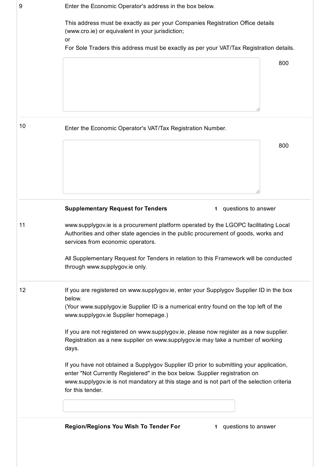| 9  | Enter the Economic Operator's address in the box below.                                                                                                                                                                                                                                                                                   |
|----|-------------------------------------------------------------------------------------------------------------------------------------------------------------------------------------------------------------------------------------------------------------------------------------------------------------------------------------------|
|    | This address must be exactly as per your Companies Registration Office details<br>(www.cro.ie) or equivalent in your jurisdiction;<br>or                                                                                                                                                                                                  |
|    | For Sole Traders this address must be exactly as per your VAT/Tax Registration details.                                                                                                                                                                                                                                                   |
|    | 800                                                                                                                                                                                                                                                                                                                                       |
| 10 | Enter the Economic Operator's VAT/Tax Registration Number.                                                                                                                                                                                                                                                                                |
|    | 800                                                                                                                                                                                                                                                                                                                                       |
|    | <b>Supplementary Request for Tenders</b><br>1 questions to answer                                                                                                                                                                                                                                                                         |
| 11 | www.supplygov.ie is a procurement platform operated by the LGOPC facilitating Local<br>Authorities and other state agencies in the public procurement of goods, works and<br>services from economic operators.<br>All Supplementary Request for Tenders in relation to this Framework will be conducted<br>through www.supplygov.ie only. |
| 12 | If you are registered on www.supplygov.ie, enter your Supplygov Supplier ID in the box<br>below.<br>(Your www.supplygov.ie Supplier ID is a numerical entry found on the top left of the<br>www.supplygov.ie Supplier homepage.)                                                                                                          |
|    | If you are not registered on www.supplygov.ie, please now register as a new supplier.<br>Registration as a new supplier on www.supplygov.ie may take a number of working<br>days.                                                                                                                                                         |
|    | If you have not obtained a Supplygov Supplier ID prior to submitting your application,<br>enter "Not Currently Registered" in the box below. Supplier registration on<br>www.supplygov.ie is not mandatory at this stage and is not part of the selection criteria<br>for this tender.                                                    |
|    |                                                                                                                                                                                                                                                                                                                                           |
|    | Region/Regions You Wish To Tender For<br>1 questions to answer                                                                                                                                                                                                                                                                            |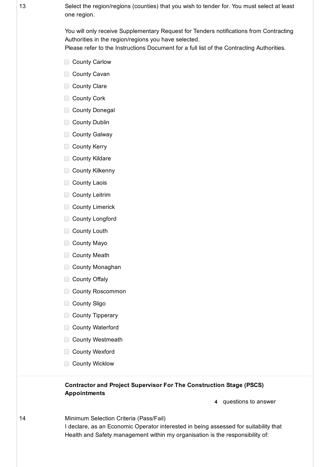13 Select the region/regions (counties) that you wish to tender for. You must select at least one region.

> You will only receive Supplementary Request for Tenders notifications from Contracting Authorities in the region/regions you have selected. Please refer to the Instructions Document for a full list of the Contracting Authorities.

- **□ County Carlow**
- **□ County Cavan**
- County Clare
- County Cork
- **County Donegal**
- County Dublin
- **County Galway**
- County Kerry
- County Kildare
- **County Kilkenny**
- County Laois
- County Leitrim
- County Limerick
- County Longford
- County Louth
- County Mayo
- County Meath
- County Monaghan
- County Offaly
- County Roscommon
- County Sligo
- County Tipperary
- County Waterford
- County Westmeath
- County Wexford
- County Wicklow

#### Contractor and Project Supervisor For The Construction Stage (PSCS) Appointments

4 questions to answer

14 Minimum Selection Criteria (Pass/Fail) I declare, as an Economic Operator interested in being assessed for suitability that Health and Safety management within my organisation is the responsibility of: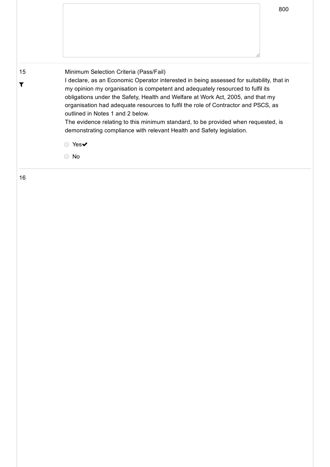| 15<br>T | Minimum Selection Criteria (Pass/Fail)<br>I declare, as an Economic Operator interested in being assessed for suitability, that in<br>my opinion my organisation is competent and adequately resourced to fulfil its<br>obligations under the Safety, Health and Welfare at Work Act, 2005, and that my<br>organisation had adequate resources to fulfil the role of Contractor and PSCS, as<br>outlined in Notes 1 and 2 below.<br>The evidence relating to this minimum standard, to be provided when requested, is<br>demonstrating compliance with relevant Health and Safety legislation.<br>Yes $\blacktriangledown$<br>No |
|---------|----------------------------------------------------------------------------------------------------------------------------------------------------------------------------------------------------------------------------------------------------------------------------------------------------------------------------------------------------------------------------------------------------------------------------------------------------------------------------------------------------------------------------------------------------------------------------------------------------------------------------------|
| 16      |                                                                                                                                                                                                                                                                                                                                                                                                                                                                                                                                                                                                                                  |

800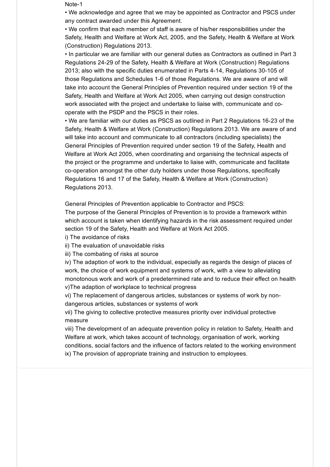Note-1

• We acknowledge and agree that we may be appointed as Contractor and PSCS under any contract awarded under this Agreement.

• We confirm that each member of staff is aware of his/her responsibilities under the Safety, Health and Welfare at Work Act, 2005, and the Safety, Health & Welfare at Work (Construction) Regulations 2013.

• In particular we are familiar with our general duties as Contractors as outlined in Part 3 Regulations 2429 of the Safety, Health & Welfare at Work (Construction) Regulations 2013; also with the specific duties enumerated in Parts 4-14, Regulations 30-105 of those Regulations and Schedules 1-6 of those Regulations. We are aware of and will take into account the General Principles of Prevention required under section 19 of the Safety, Health and Welfare at Work Act 2005, when carrying out design construction work associated with the project and undertake to liaise with, communicate and cooperate with the PSDP and the PSCS in their roles.

• We are familiar with our duties as PSCS as outlined in Part 2 Regulations 16-23 of the Safety, Health & Welfare at Work (Construction) Regulations 2013. We are aware of and will take into account and communicate to all contractors (including specialists) the General Principles of Prevention required under section 19 of the Safety, Health and Welfare at Work Act 2005, when coordinating and organising the technical aspects of the project or the programme and undertake to liaise with, communicate and facilitate co-operation amongst the other duty holders under those Regulations, specifically Regulations 16 and 17 of the Safety, Health & Welfare at Work (Construction) Regulations 2013.

General Principles of Prevention applicable to Contractor and PSCS:

The purpose of the General Principles of Prevention is to provide a framework within which account is taken when identifying hazards in the risk assessment required under section 19 of the Safety, Health and Welfare at Work Act 2005.

i) The avoidance of risks

ii) The evaluation of unavoidable risks

iii) The combating of risks at source

iv) The adaption of work to the individual, especially as regards the design of places of work, the choice of work equipment and systems of work, with a view to alleviating monotonous work and work of a predetermined rate and to reduce their effect on health v)The adaption of workplace to technical progress

vi) The replacement of dangerous articles, substances or systems of work by nondangerous articles, substances or systems of work

vii) The giving to collective protective measures priority over individual protective measure

viii) The development of an adequate prevention policy in relation to Safety, Health and Welfare at work, which takes account of technology, organisation of work, working conditions, social factors and the influence of factors related to the working environment ix) The provision of appropriate training and instruction to employees.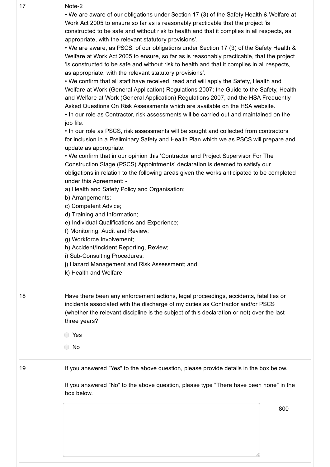| 17 | Note-2<br>• We are aware of our obligations under Section 17 (3) of the Safety Health & Welfare at<br>Work Act 2005 to ensure so far as is reasonably practicable that the project 'is<br>constructed to be safe and without risk to health and that it complies in all respects, as<br>appropriate, with the relevant statutory provisions'.<br>• We are aware, as PSCS, of our obligations under Section 17 (3) of the Safety Health &<br>Welfare at Work Act 2005 to ensure, so far as is reasonably practicable, that the project<br>'is constructed to be safe and without risk to health and that it complies in all respects,<br>as appropriate, with the relevant statutory provisions'.<br>• We confirm that all staff have received, read and will apply the Safety, Health and<br>Welfare at Work (General Application) Regulations 2007; the Guide to the Safety, Health<br>and Welfare at Work (General Application) Regulations 2007, and the HSA Frequently<br>Asked Questions On Risk Assessments which are available on the HSA website.<br>. In our role as Contractor, risk assessments will be carried out and maintained on the<br>job file.<br>• In our role as PSCS, risk assessments will be sought and collected from contractors<br>for inclusion in a Preliminary Safety and Health Plan which we as PSCS will prepare and<br>update as appropriate.<br>. We confirm that in our opinion this 'Contractor and Project Supervisor For The<br>Construction Stage (PSCS) Appointments' declaration is deemed to satisfy our<br>obligations in relation to the following areas given the works anticipated to be completed<br>under this Agreement: -<br>a) Health and Safety Policy and Organisation;<br>b) Arrangements;<br>c) Competent Advice;<br>d) Training and Information;<br>e) Individual Qualifications and Experience;<br>f) Monitoring, Audit and Review;<br>g) Workforce Involvement;<br>h) Accident/Incident Reporting, Review;<br>i) Sub-Consulting Procedures;<br>j) Hazard Management and Risk Assessment; and,<br>k) Health and Welfare. |     |
|----|------------------------------------------------------------------------------------------------------------------------------------------------------------------------------------------------------------------------------------------------------------------------------------------------------------------------------------------------------------------------------------------------------------------------------------------------------------------------------------------------------------------------------------------------------------------------------------------------------------------------------------------------------------------------------------------------------------------------------------------------------------------------------------------------------------------------------------------------------------------------------------------------------------------------------------------------------------------------------------------------------------------------------------------------------------------------------------------------------------------------------------------------------------------------------------------------------------------------------------------------------------------------------------------------------------------------------------------------------------------------------------------------------------------------------------------------------------------------------------------------------------------------------------------------------------------------------------------------------------------------------------------------------------------------------------------------------------------------------------------------------------------------------------------------------------------------------------------------------------------------------------------------------------------------------------------------------------------------------------------------------------------------------------------------------------------------------------|-----|
| 18 | Have there been any enforcement actions, legal proceedings, accidents, fatalities or<br>incidents associated with the discharge of my duties as Contractor and/or PSCS<br>(whether the relevant discipline is the subject of this declaration or not) over the last<br>three years?<br>◯ Yes<br>$\bigcirc$ No                                                                                                                                                                                                                                                                                                                                                                                                                                                                                                                                                                                                                                                                                                                                                                                                                                                                                                                                                                                                                                                                                                                                                                                                                                                                                                                                                                                                                                                                                                                                                                                                                                                                                                                                                                      |     |
| 19 | If you answered "Yes" to the above question, please provide details in the box below.<br>If you answered "No" to the above question, please type "There have been none" in the<br>box below.                                                                                                                                                                                                                                                                                                                                                                                                                                                                                                                                                                                                                                                                                                                                                                                                                                                                                                                                                                                                                                                                                                                                                                                                                                                                                                                                                                                                                                                                                                                                                                                                                                                                                                                                                                                                                                                                                       | 800 |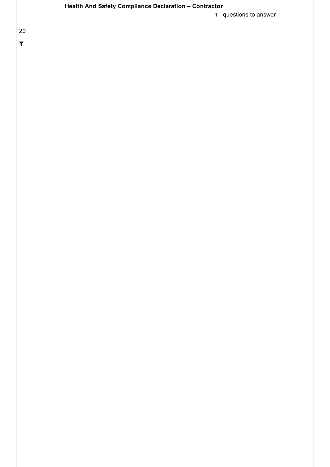### Health And Safety Compliance Declaration – Contractor

1 questions to answer

20

 $\overline{\mathbf{r}}$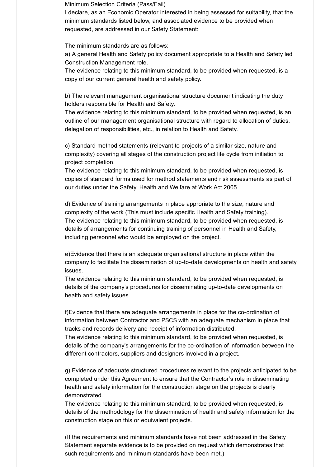Minimum Selection Criteria (Pass/Fail)

I declare, as an Economic Operator interested in being assessed for suitability, that the minimum standards listed below, and associated evidence to be provided when requested, are addressed in our Safety Statement:

The minimum standards are as follows:

a) A general Health and Safety policy document appropriate to a Health and Safety led Construction Management role.

The evidence relating to this minimum standard, to be provided when requested, is a copy of our current general health and safety policy.

b) The relevant management organisational structure document indicating the duty holders responsible for Health and Safety.

The evidence relating to this minimum standard, to be provided when requested, is an outline of our management organisational structure with regard to allocation of duties, delegation of responsibilities, etc., in relation to Health and Safety.

c) Standard method statements (relevant to projects of a similar size, nature and complexity) covering all stages of the construction project life cycle from initiation to project completion.

The evidence relating to this minimum standard, to be provided when requested, is copies of standard forms used for method statements and risk assessments as part of our duties under the Safety, Health and Welfare at Work Act 2005.

d) Evidence of training arrangements in place approriate to the size, nature and complexity of the work (This must include specific Health and Safety training). The evidence relating to this minimum standard, to be provided when requested, is details of arrangements for continuing training of personnel in Health and Safety, including personnel who would be employed on the project.

e)Evidence that there is an adequate organisational structure in place within the company to facilitate the dissemination of up-to-date developments on health and safety issues.

The evidence relating to this minimum standard, to be provided when requested, is details of the company's procedures for disseminating up-to-date developments on health and safety issues.

f)Evidence that there are adequate arrangements in place for the co-ordination of information between Contractor and PSCS with an adequate mechanism in place that tracks and records delivery and receipt of information distributed. The evidence relating to this minimum standard, to be provided when requested, is

details of the company's arrangements for the co-ordination of information between the different contractors, suppliers and designers involved in a project.

g) Evidence of adequate structured procedures relevant to the projects anticipated to be completed under this Agreement to ensure that the Contractor's role in disseminating health and safety information for the construction stage on the projects is clearly demonstrated.

The evidence relating to this minimum standard, to be provided when requested, is details of the methodology for the dissemination of health and safety information for the construction stage on this or equivalent projects.

(If the requirements and minimum standards have not been addressed in the Safety Statement separate evidence is to be provided on request which demonstrates that such requirements and minimum standards have been met.)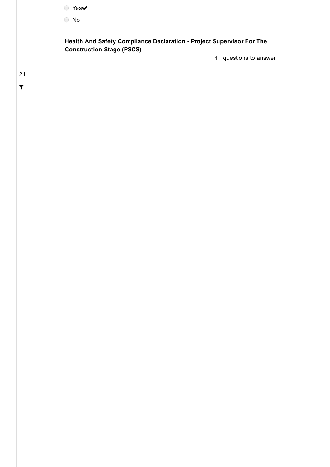|                            | ● Yes✔<br>$\bigcirc$ No                                                                                   |                       |
|----------------------------|-----------------------------------------------------------------------------------------------------------|-----------------------|
|                            | Health And Safety Compliance Declaration - Project Supervisor For The<br><b>Construction Stage (PSCS)</b> | 1 questions to answer |
| 21<br>$\blacktriangledown$ |                                                                                                           |                       |
|                            |                                                                                                           |                       |
|                            |                                                                                                           |                       |
|                            |                                                                                                           |                       |
|                            |                                                                                                           |                       |
|                            |                                                                                                           |                       |
|                            |                                                                                                           |                       |
|                            |                                                                                                           |                       |
|                            |                                                                                                           |                       |
|                            |                                                                                                           |                       |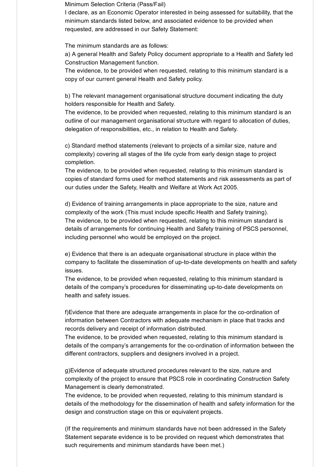Minimum Selection Criteria (Pass/Fail)

I declare, as an Economic Operator interested in being assessed for suitability, that the minimum standards listed below, and associated evidence to be provided when requested, are addressed in our Safety Statement:

The minimum standards are as follows:

a) A general Health and Safety Policy document appropriate to a Health and Safety led Construction Management function.

The evidence, to be provided when requested, relating to this minimum standard is a copy of our current general Health and Safety policy.

b) The relevant management organisational structure document indicating the duty holders responsible for Health and Safety.

The evidence, to be provided when requested, relating to this minimum standard is an outline of our management organisational structure with regard to allocation of duties, delegation of responsibilities, etc., in relation to Health and Safety.

c) Standard method statements (relevant to projects of a similar size, nature and complexity) covering all stages of the life cycle from early design stage to project completion.

The evidence, to be provided when requested, relating to this minimum standard is copies of standard forms used for method statements and risk assessments as part of our duties under the Safety, Health and Welfare at Work Act 2005.

d) Evidence of training arrangements in place appropriate to the size, nature and complexity of the work (This must include specific Health and Safety training). The evidence, to be provided when requested, relating to this minimum standard is details of arrangements for continuing Health and Safety training of PSCS personnel, including personnel who would be employed on the project.

e) Evidence that there is an adequate organisational structure in place within the company to facilitate the dissemination of up-to-date developments on health and safety issues.

The evidence, to be provided when requested, relating to this minimum standard is details of the company's procedures for disseminating up-to-date developments on health and safety issues.

f)Evidence that there are adequate arrangements in place for the co-ordination of information between Contractors with adequate mechanism in place that tracks and records delivery and receipt of information distributed.

The evidence, to be provided when requested, relating to this minimum standard is details of the company's arrangements for the co-ordination of information between the different contractors, suppliers and designers involved in a project.

g)Evidence of adequate structured procedures relevant to the size, nature and complexity of the project to ensure that PSCS role in coordinating Construction Safety Management is clearly demonstrated.

The evidence, to be provided when requested, relating to this minimum standard is details of the methodology for the dissemination of health and safety information for the design and construction stage on this or equivalent projects.

(If the requirements and minimum standards have not been addressed in the Safety Statement separate evidence is to be provided on request which demonstrates that such requirements and minimum standards have been met.)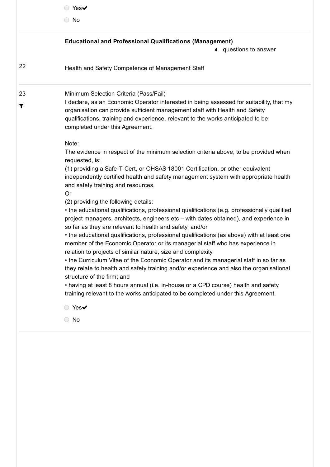|         | Yes $\blacktriangledown$                                                                                                                                                                                                                                                                                                                                                                                                                                                                                                                                                                                                                                                                                                                                                                                                                                                                                                                                                                                                                                                                                                                                                                                                                                                                                                                                                                                                                                                                                                                                                                                                 |
|---------|--------------------------------------------------------------------------------------------------------------------------------------------------------------------------------------------------------------------------------------------------------------------------------------------------------------------------------------------------------------------------------------------------------------------------------------------------------------------------------------------------------------------------------------------------------------------------------------------------------------------------------------------------------------------------------------------------------------------------------------------------------------------------------------------------------------------------------------------------------------------------------------------------------------------------------------------------------------------------------------------------------------------------------------------------------------------------------------------------------------------------------------------------------------------------------------------------------------------------------------------------------------------------------------------------------------------------------------------------------------------------------------------------------------------------------------------------------------------------------------------------------------------------------------------------------------------------------------------------------------------------|
|         | $\bigcirc$ No                                                                                                                                                                                                                                                                                                                                                                                                                                                                                                                                                                                                                                                                                                                                                                                                                                                                                                                                                                                                                                                                                                                                                                                                                                                                                                                                                                                                                                                                                                                                                                                                            |
|         | <b>Educational and Professional Qualifications (Management)</b><br>4 questions to answer                                                                                                                                                                                                                                                                                                                                                                                                                                                                                                                                                                                                                                                                                                                                                                                                                                                                                                                                                                                                                                                                                                                                                                                                                                                                                                                                                                                                                                                                                                                                 |
| 22      | Health and Safety Competence of Management Staff                                                                                                                                                                                                                                                                                                                                                                                                                                                                                                                                                                                                                                                                                                                                                                                                                                                                                                                                                                                                                                                                                                                                                                                                                                                                                                                                                                                                                                                                                                                                                                         |
| 23<br>Т | Minimum Selection Criteria (Pass/Fail)<br>I declare, as an Economic Operator interested in being assessed for suitability, that my<br>organisation can provide sufficient management staff with Health and Safety<br>qualifications, training and experience, relevant to the works anticipated to be<br>completed under this Agreement.<br>Note:<br>The evidence in respect of the minimum selection criteria above, to be provided when<br>requested, is:<br>(1) providing a Safe-T-Cert, or OHSAS 18001 Certification, or other equivalent<br>independently certified health and safety management system with appropriate health<br>and safety training and resources,<br>Or<br>(2) providing the following details:<br>• the educational qualifications, professional qualifications (e.g. professionally qualified<br>project managers, architects, engineers etc - with dates obtained), and experience in<br>so far as they are relevant to health and safety, and/or<br>• the educational qualifications, professional qualifications (as above) with at least one<br>member of the Economic Operator or its managerial staff who has experience in<br>relation to projects of similar nature, size and complexity.<br>• the Curriculum Vitae of the Economic Operator and its managerial staff in so far as<br>they relate to health and safety training and/or experience and also the organisational<br>structure of the firm; and<br>• having at least 8 hours annual (i.e. in-house or a CPD course) health and safety<br>training relevant to the works anticipated to be completed under this Agreement. |
|         | $Yes\blacktriangleright$<br>No                                                                                                                                                                                                                                                                                                                                                                                                                                                                                                                                                                                                                                                                                                                                                                                                                                                                                                                                                                                                                                                                                                                                                                                                                                                                                                                                                                                                                                                                                                                                                                                           |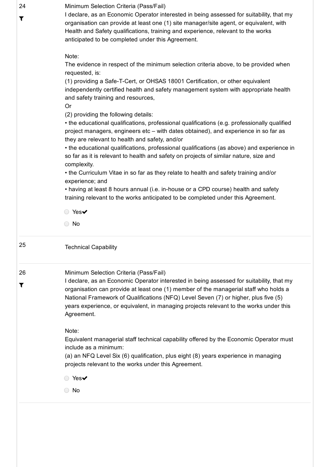| 24 | Minimum Selection Criteria (Pass/Fail)                                                                                                                                                             |
|----|----------------------------------------------------------------------------------------------------------------------------------------------------------------------------------------------------|
| Т  | I declare, as an Economic Operator interested in being assessed for suitability, that my                                                                                                           |
|    | organisation can provide at least one (1) site manager/site agent, or equivalent, with                                                                                                             |
|    | Health and Safety qualifications, training and experience, relevant to the works<br>anticipated to be completed under this Agreement.                                                              |
|    |                                                                                                                                                                                                    |
|    | Note:                                                                                                                                                                                              |
|    | The evidence in respect of the minimum selection criteria above, to be provided when<br>requested, is:                                                                                             |
|    | (1) providing a Safe-T-Cert, or OHSAS 18001 Certification, or other equivalent                                                                                                                     |
|    | independently certified health and safety management system with appropriate health<br>and safety training and resources,                                                                          |
|    | <b>Or</b>                                                                                                                                                                                          |
|    | (2) providing the following details:                                                                                                                                                               |
|    | • the educational qualifications, professional qualifications (e.g. professionally qualified<br>project managers, engineers etc - with dates obtained), and experience in so far as                |
|    | they are relevant to health and safety, and/or                                                                                                                                                     |
|    | • the educational qualifications, professional qualifications (as above) and experience in<br>so far as it is relevant to health and safety on projects of similar nature, size and<br>complexity. |
|    | • the Curriculum Vitae in so far as they relate to health and safety training and/or                                                                                                               |
|    | experience; and                                                                                                                                                                                    |
|    | • having at least 8 hours annual (i.e. in-house or a CPD course) health and safety                                                                                                                 |
|    | training relevant to the works anticipated to be completed under this Agreement.                                                                                                                   |
|    |                                                                                                                                                                                                    |
|    | ◯ Yes✔                                                                                                                                                                                             |
|    | $\bigcirc$ No                                                                                                                                                                                      |
|    |                                                                                                                                                                                                    |
| 25 | <b>Technical Capability</b>                                                                                                                                                                        |
| 26 | Minimum Selection Criteria (Pass/Fail)                                                                                                                                                             |
| T  | I declare, as an Economic Operator interested in being assessed for suitability, that my                                                                                                           |
|    | organisation can provide at least one (1) member of the managerial staff who holds a                                                                                                               |
|    | National Framework of Qualifications (NFQ) Level Seven (7) or higher, plus five (5)                                                                                                                |
|    | years experience, or equivalent, in managing projects relevant to the works under this                                                                                                             |
|    | Agreement.                                                                                                                                                                                         |
|    | Note:                                                                                                                                                                                              |
|    | Equivalent managerial staff technical capability offered by the Economic Operator must                                                                                                             |
|    | include as a minimum:                                                                                                                                                                              |
|    | (a) an NFQ Level Six (6) qualification, plus eight (8) years experience in managing                                                                                                                |
|    | projects relevant to the works under this Agreement.                                                                                                                                               |
|    | Yes $\blacktriangledown$                                                                                                                                                                           |
|    | No                                                                                                                                                                                                 |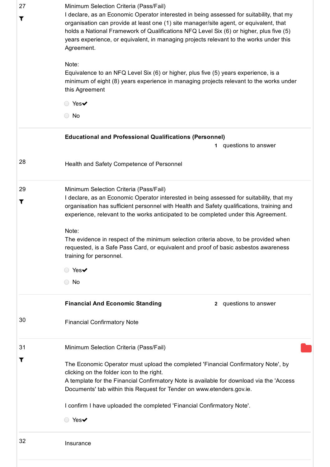| 27<br>T | Minimum Selection Criteria (Pass/Fail)<br>I declare, as an Economic Operator interested in being assessed for suitability, that my<br>organisation can provide at least one (1) site manager/site agent, or equivalent, that<br>holds a National Framework of Qualifications NFQ Level Six (6) or higher, plus five (5)<br>years experience, or equivalent, in managing projects relevant to the works under this<br>Agreement.<br>Note:<br>Equivalence to an NFQ Level Six (6) or higher, plus five (5) years experience, is a<br>minimum of eight (8) years experience in managing projects relevant to the works under<br>this Agreement<br>○ Yes✔<br>$\bigcirc$ No |
|---------|------------------------------------------------------------------------------------------------------------------------------------------------------------------------------------------------------------------------------------------------------------------------------------------------------------------------------------------------------------------------------------------------------------------------------------------------------------------------------------------------------------------------------------------------------------------------------------------------------------------------------------------------------------------------|
|         | <b>Educational and Professional Qualifications (Personnel)</b><br>questions to answer<br>1.                                                                                                                                                                                                                                                                                                                                                                                                                                                                                                                                                                            |
|         |                                                                                                                                                                                                                                                                                                                                                                                                                                                                                                                                                                                                                                                                        |
| 28      | Health and Safety Competence of Personnel                                                                                                                                                                                                                                                                                                                                                                                                                                                                                                                                                                                                                              |
| 29      | Minimum Selection Criteria (Pass/Fail)                                                                                                                                                                                                                                                                                                                                                                                                                                                                                                                                                                                                                                 |
| Т       | I declare, as an Economic Operator interested in being assessed for suitability, that my                                                                                                                                                                                                                                                                                                                                                                                                                                                                                                                                                                               |
|         | organisation has sufficient personnel with Health and Safety qualifications, training and<br>experience, relevant to the works anticipated to be completed under this Agreement.                                                                                                                                                                                                                                                                                                                                                                                                                                                                                       |
|         | Note:<br>The evidence in respect of the minimum selection criteria above, to be provided when<br>requested, is a Safe Pass Card, or equivalent and proof of basic asbestos awareness<br>training for personnel.                                                                                                                                                                                                                                                                                                                                                                                                                                                        |
|         | $Yes\blacktriangleright$                                                                                                                                                                                                                                                                                                                                                                                                                                                                                                                                                                                                                                               |
|         | $\circ$ No                                                                                                                                                                                                                                                                                                                                                                                                                                                                                                                                                                                                                                                             |
|         | <b>Financial And Economic Standing</b><br>2 questions to answer                                                                                                                                                                                                                                                                                                                                                                                                                                                                                                                                                                                                        |
| 30      | <b>Financial Confirmatory Note</b>                                                                                                                                                                                                                                                                                                                                                                                                                                                                                                                                                                                                                                     |
| 31      | Minimum Selection Criteria (Pass/Fail)                                                                                                                                                                                                                                                                                                                                                                                                                                                                                                                                                                                                                                 |
|         | The Economic Operator must upload the completed 'Financial Confirmatory Note', by<br>clicking on the folder icon to the right.<br>A template for the Financial Confirmatory Note is available for download via the 'Access<br>Documents' tab within this Request for Tender on www.etenders.gov.ie.                                                                                                                                                                                                                                                                                                                                                                    |
|         | I confirm I have uploaded the completed 'Financial Confirmatory Note'.                                                                                                                                                                                                                                                                                                                                                                                                                                                                                                                                                                                                 |
|         | $\circ$ Yes $\checkmark$                                                                                                                                                                                                                                                                                                                                                                                                                                                                                                                                                                                                                                               |
| 32      | Insurance                                                                                                                                                                                                                                                                                                                                                                                                                                                                                                                                                                                                                                                              |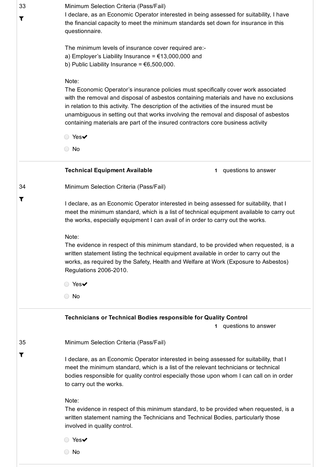| 33<br>T | Minimum Selection Criteria (Pass/Fail)<br>I declare, as an Economic Operator interested in being assessed for suitability, I have<br>the financial capacity to meet the minimum standards set down for insurance in this<br>questionnaire.                                                                                                                                                                                                                |  |
|---------|-----------------------------------------------------------------------------------------------------------------------------------------------------------------------------------------------------------------------------------------------------------------------------------------------------------------------------------------------------------------------------------------------------------------------------------------------------------|--|
|         | The minimum levels of insurance cover required are:-<br>a) Employer's Liability Insurance = $£13,000,000$ and<br>b) Public Liability Insurance = $€6,500,000$ .                                                                                                                                                                                                                                                                                           |  |
|         | Note:<br>The Economic Operator's insurance policies must specifically cover work associated<br>with the removal and disposal of asbestos containing materials and have no exclusions<br>in relation to this activity. The description of the activities of the insured must be<br>unambiguous in setting out that works involving the removal and disposal of asbestos<br>containing materials are part of the insured contractors core business activity |  |
|         | ○ Yes✔                                                                                                                                                                                                                                                                                                                                                                                                                                                    |  |
|         | $\bigcirc$ No                                                                                                                                                                                                                                                                                                                                                                                                                                             |  |
|         | <b>Technical Equipment Available</b><br>questions to answer<br>$\mathbf 1$                                                                                                                                                                                                                                                                                                                                                                                |  |
| 34      | Minimum Selection Criteria (Pass/Fail)                                                                                                                                                                                                                                                                                                                                                                                                                    |  |
| T       | I declare, as an Economic Operator interested in being assessed for suitability, that I<br>meet the minimum standard, which is a list of technical equipment available to carry out<br>the works, especially equipment I can avail of in order to carry out the works.                                                                                                                                                                                    |  |
|         | Note:<br>The evidence in respect of this minimum standard, to be provided when requested, is a<br>written statement listing the technical equipment available in order to carry out the<br>works, as required by the Safety, Health and Welfare at Work (Exposure to Asbestos)<br>Regulations 2006-2010.                                                                                                                                                  |  |
|         | ◯ Yes✔                                                                                                                                                                                                                                                                                                                                                                                                                                                    |  |
|         | $\bigcirc$ No                                                                                                                                                                                                                                                                                                                                                                                                                                             |  |
|         | <b>Technicians or Technical Bodies responsible for Quality Control</b><br>questions to answer<br>1                                                                                                                                                                                                                                                                                                                                                        |  |
| 35      | Minimum Selection Criteria (Pass/Fail)                                                                                                                                                                                                                                                                                                                                                                                                                    |  |
| T       | I declare, as an Economic Operator interested in being assessed for suitability, that I<br>meet the minimum standard, which is a list of the relevant technicians or technical<br>bodies responsible for quality control especially those upon whom I can call on in order<br>to carry out the works.                                                                                                                                                     |  |
|         | Note:<br>The evidence in respect of this minimum standard, to be provided when requested, is a<br>written statement naming the Technicians and Technical Bodies, particularly those<br>involved in quality control.                                                                                                                                                                                                                                       |  |
|         | ◯ Yes✔                                                                                                                                                                                                                                                                                                                                                                                                                                                    |  |
|         | $\bigcirc$ No                                                                                                                                                                                                                                                                                                                                                                                                                                             |  |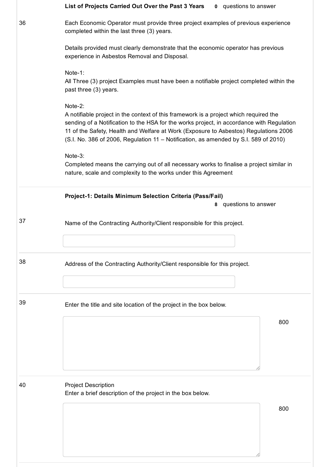|    | List of Projects Carried Out Over the Past 3 Years<br><b>0</b> questions to answer                                                                                                                                                                                                                                                                                            |
|----|-------------------------------------------------------------------------------------------------------------------------------------------------------------------------------------------------------------------------------------------------------------------------------------------------------------------------------------------------------------------------------|
| 36 | Each Economic Operator must provide three project examples of previous experience<br>completed within the last three (3) years.                                                                                                                                                                                                                                               |
|    | Details provided must clearly demonstrate that the economic operator has previous<br>experience in Asbestos Removal and Disposal.                                                                                                                                                                                                                                             |
|    | Note-1:<br>All Three (3) project Examples must have been a notifiable project completed within the<br>past three (3) years.                                                                                                                                                                                                                                                   |
|    | Note-2:<br>A notifiable project in the context of this framework is a project which required the<br>sending of a Notification to the HSA for the works project, in accordance with Regulation<br>11 of the Safety, Health and Welfare at Work (Exposure to Asbestos) Regulations 2006<br>(S.I. No. 386 of 2006, Regulation 11 - Notification, as amended by S.I. 589 of 2010) |
|    | Note-3:<br>Completed means the carrying out of all necessary works to finalise a project similar in<br>nature, scale and complexity to the works under this Agreement                                                                                                                                                                                                         |
|    | Project-1: Details Minimum Selection Criteria (Pass/Fail)<br>8 questions to answer                                                                                                                                                                                                                                                                                            |
| 37 | Name of the Contracting Authority/Client responsible for this project.                                                                                                                                                                                                                                                                                                        |
| 38 | Address of the Contracting Authority/Client responsible for this project.                                                                                                                                                                                                                                                                                                     |
| 39 | Enter the title and site location of the project in the box below.                                                                                                                                                                                                                                                                                                            |
|    | 800                                                                                                                                                                                                                                                                                                                                                                           |
| 40 | <b>Project Description</b><br>Enter a brief description of the project in the box below.                                                                                                                                                                                                                                                                                      |
|    | 800                                                                                                                                                                                                                                                                                                                                                                           |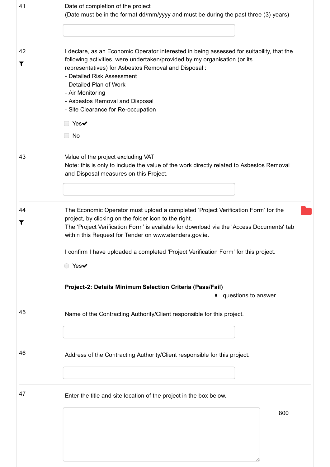| 41      | Date of completion of the project<br>(Date must be in the format dd/mm/yyyy and must be during the past three (3) years)                                                                                                                                                                                                                                                                                                    |  |
|---------|-----------------------------------------------------------------------------------------------------------------------------------------------------------------------------------------------------------------------------------------------------------------------------------------------------------------------------------------------------------------------------------------------------------------------------|--|
| 42<br>T | I declare, as an Economic Operator interested in being assessed for suitability, that the<br>following activities, were undertaken/provided by my organisation (or its<br>representatives) for Asbestos Removal and Disposal:<br>- Detailed Risk Assessment<br>- Detailed Plan of Work<br>- Air Monitoring<br>- Asbestos Removal and Disposal<br>- Site Clearance for Re-occupation<br>$\Box$ Yes $\checkmark$<br>$\Box$ No |  |
| 43      | Value of the project excluding VAT<br>Note: this is only to include the value of the work directly related to Asbestos Removal<br>and Disposal measures on this Project.                                                                                                                                                                                                                                                    |  |
| 44<br>T | The Economic Operator must upload a completed 'Project Verification Form' for the<br>project, by clicking on the folder icon to the right.<br>The 'Project Verification Form' is available for download via the 'Access Documents' tab<br>within this Request for Tender on www.etenders.gov.ie.<br>I confirm I have uploaded a completed 'Project Verification Form' for this project.<br>○ Yes✔                           |  |
|         | Project-2: Details Minimum Selection Criteria (Pass/Fail)<br>8 questions to answer                                                                                                                                                                                                                                                                                                                                          |  |
| 45      | Name of the Contracting Authority/Client responsible for this project.                                                                                                                                                                                                                                                                                                                                                      |  |
| 46      | Address of the Contracting Authority/Client responsible for this project.                                                                                                                                                                                                                                                                                                                                                   |  |
| 47      | Enter the title and site location of the project in the box below.<br>800                                                                                                                                                                                                                                                                                                                                                   |  |